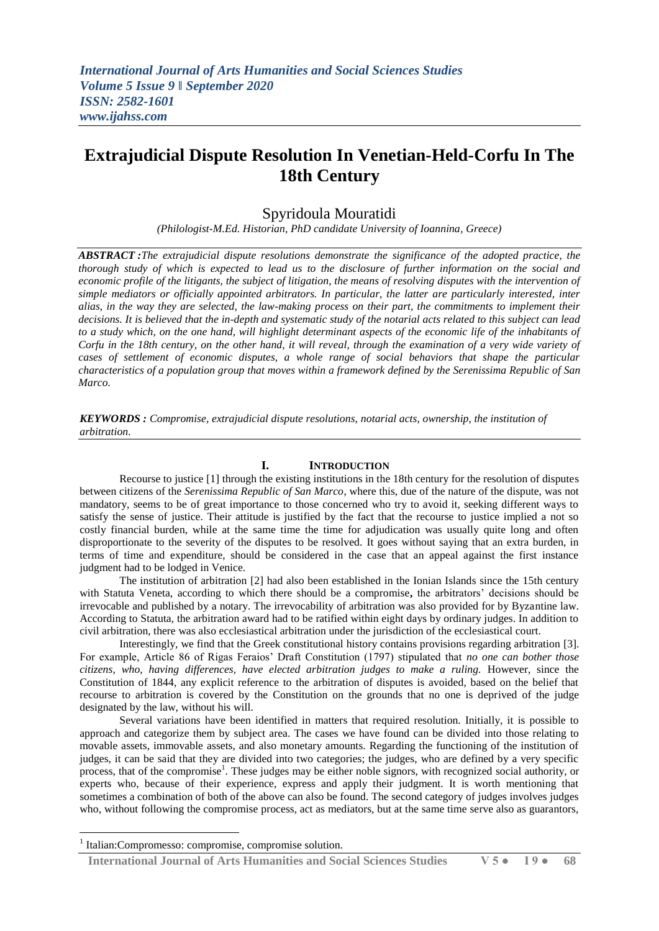# **Extrajudicial Dispute Resolution In Venetian-Held-Corfu In The 18th Century**

## Spyridoula Mouratidi

*(Philologist-M.Ed. Historian, PhD candidate University of Ioannina, Greece)*

*ABSTRACT :The extrajudicial dispute resolutions demonstrate the significance of the adopted practice, the thorough study of which is expected to lead us to the disclosure of further information on the social and economic profile of the litigants, the subject of litigation, the means of resolving disputes with the intervention of simple mediators or officially appointed arbitrators. In particular, the latter are particularly interested, inter alias, in the way they are selected, the law-making process on their part, the commitments to implement their decisions. It is believed that the in-depth and systematic study of the notarial acts related to this subject can lead*  to a study which, on the one hand, will highlight determinant aspects of the economic life of the inhabitants of *Corfu in the 18th century, on the other hand, it will reveal, through the examination of a very wide variety of cases of settlement of economic disputes, a whole range of social behaviors that shape the particular characteristics of a population group that moves within a framework defined by the Serenissima Republic of San Marco.*

*KEYWORDS : Compromise, extrajudicial dispute resolutions, notarial acts, ownership, the institution of arbitration.*

## **I. INTRODUCTION**

Recourse to justice [1] through the existing institutions in the 18th century for the resolution of disputes between citizens of the *Serenissima Republic of San Marco*, where this, due of the nature of the dispute, was not mandatory, seems to be of great importance to those concerned who try to avoid it, seeking different ways to satisfy the sense of justice. Their attitude is justified by the fact that the recourse to justice implied a not so costly financial burden, while at the same time the time for adjudication was usually quite long and often disproportionate to the severity of the disputes to be resolved. It goes without saying that an extra burden, in terms of time and expenditure, should be considered in the case that an appeal against the first instance judgment had to be lodged in Venice.

 The institution of arbitration [2] had also been established in the Ionian Islands since the 15th century with Statuta Veneta, according to which there should be a compromise**,** the arbitrators' decisions should be irrevocable and published by a notary. The irrevocability of arbitration was also provided for by Byzantine law. According to Statuta, the arbitration award had to be ratified within eight days by ordinary judges. In addition to civil arbitration, there was also ecclesiastical arbitration under the jurisdiction of the ecclesiastical court.

 Interestingly, we find that the Greek constitutional history contains provisions regarding arbitration [3]. For example, Article 86 of Rigas Feraios' Draft Constitution (1797) stipulated that *no one can bother those citizens, who, having differences, have elected arbitration judges to make a ruling.* However, since the Constitution of 1844, any explicit reference to the arbitration of disputes is avoided, based on the belief that recourse to arbitration is covered by the Constitution on the grounds that no one is deprived of the judge designated by the law, without his will.

 Several variations have been identified in matters that required resolution. Initially, it is possible to approach and categorize them by subject area. The cases we have found can be divided into those relating to movable assets, immovable assets, and also monetary amounts. Regarding the functioning of the institution of judges, it can be said that they are divided into two categories; the judges, who are defined by a very specific process, that of the compromise<sup>1</sup>. These judges may be either noble signors, with recognized social authority, or experts who, because of their experience, express and apply their judgment. It is worth mentioning that sometimes a combination of both of the above can also be found. The second category of judges involves judges who, without following the compromise process, act as mediators, but at the same time serve also as guarantors,

**.** 

 **International Journal of Arts Humanities and Social Sciences Studies V 5 ● I 9 ● 68**

<sup>1</sup> Italian:Compromesso: compromise, compromise solution.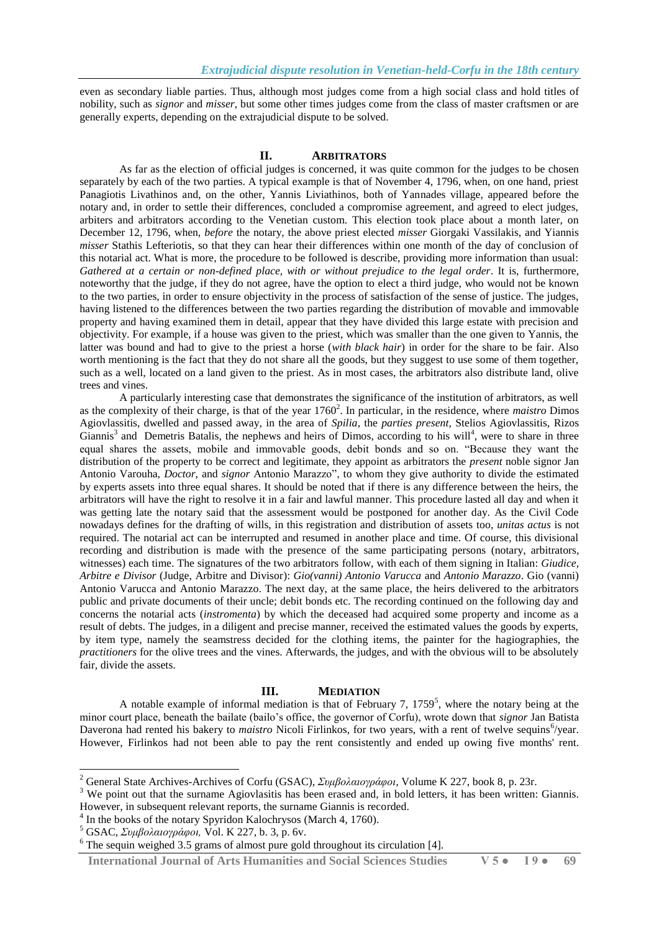even as secondary liable parties. Thus, although most judges come from a high social class and hold titles of nobility, such as *signor* and *misser*, but some other times judges come from the class of master craftsmen or are generally experts, depending on the extrajudicial dispute to be solved.

## **II. ARBITRATORS**

As far as the election of official judges is concerned, it was quite common for the judges to be chosen separately by each of the two parties. A typical example is that of November 4, 1796, when, on one hand, priest Panagiotis Livathinos and, on the other, Yannis Liviathinos, both of Yannades village, appeared before the notary and, in order to settle their differences, concluded a compromise agreement, and agreed to elect judges, arbiters and arbitrators according to the Venetian custom. This election took place about a month later, on December 12, 1796, when, *before* the notary, the above priest elected *misser* Giorgaki Vassilakis, and Yiannis *misser* Stathis Lefteriotis, so that they can hear their differences within one month of the day of conclusion of this notarial act. What is more, the procedure to be followed is describe, providing more information than usual: *Gathered at a certain or non-defined place, with or without prejudice to the legal order*. It is, furthermore, noteworthy that the judge, if they do not agree, have the option to elect a third judge, who would not be known to the two parties, in order to ensure objectivity in the process of satisfaction of the sense of justice. The judges, having listened to the differences between the two parties regarding the distribution of movable and immovable property and having examined them in detail, appear that they have divided this large estate with precision and objectivity. For example, if a house was given to the priest, which was smaller than the one given to Yannis, the latter was bound and had to give to the priest a horse (*with black hair*) in order for the share to be fair. Also worth mentioning is the fact that they do not share all the goods, but they suggest to use some of them together, such as a well, located on a land given to the priest. As in most cases, the arbitrators also distribute land, olive trees and vines.

 A particularly interesting case that demonstrates the significance of the institution of arbitrators, as well as the complexity of their charge, is that of the year 1760<sup>2</sup>. In particular, in the residence, where *maistro* Dimos Agiovlassitis, dwelled and passed away, in the area of *Spilia*, the *parties present,* Stelios Agiovlassitis, Rizos Giannis<sup>3</sup> and Demetris Batalis, the nephews and heirs of Dimos, according to his will<sup>4</sup>, were to share in three equal shares the assets, mobile and immovable goods, debit bonds and so on. "Because they want the distribution of the property to be correct and legitimate, they appoint as arbitrators the *present* noble signor Jan Antonio Varouha, *Doctor*, and *signor* Antonio Marazzo", to whom they give authority to divide the estimated by experts assets into three equal shares. It should be noted that if there is any difference between the heirs, the arbitrators will have the right to resolve it in a fair and lawful manner. This procedure lasted all day and when it was getting late the notary said that the assessment would be postponed for another day. As the Civil Code nowadays defines for the drafting of wills, in this registration and distribution of assets too, *unitas actus* is not required. The notarial act can be interrupted and resumed in another place and time. Of course, this divisional recording and distribution is made with the presence of the same participating persons (notary, arbitrators, witnesses) each time. The signatures of the two arbitrators follow, with each of them signing in Italian: *Giudice, Arbitre e Divisor* (Judge, Arbitre and Divisor): *Gio(vanni) Antonio Varucca* and *Antonio Marazzo*. Gio (vanni) Antonio Varucca and Antonio Marazzo. The next day, at the same place, the heirs delivered to the arbitrators public and private documents of their uncle; debit bonds etc. The recording continued on the following day and concerns the notarial acts (*instromenta*) by which the deceased had acquired some property and income as a result of debts. The judges, in a diligent and precise manner, received the estimated values the goods by experts, by item type, namely the seamstress decided for the clothing items, the painter for the hagiographies, the *practitioners* for the olive trees and the vines. Afterwards, the judges, and with the obvious will to be absolutely fair, divide the assets.

#### **III. MEDIATION**

A notable example of informal mediation is that of February 7,  $1759<sup>5</sup>$ , where the notary being at the minor court place, beneath the bailate (bailo's office, the governor of Corfu), wrote down that *signor* Jan Batista Daverona had rented his bakery to *maistro* Nicoli Firlinkos, for two years, with a rent of twelve sequins<sup>6</sup>/year. However, Firlinkos had not been able to pay the rent consistently and ended up owing five months' rent.

-

<sup>2</sup> General State Archives-Archives of Corfu (GSAC), *Συμβολαιογράφοι,* Volume K 227, book 8, p. 23r.

<sup>&</sup>lt;sup>3</sup> We point out that the surname Agiovlasitis has been erased and, in bold letters, it has been written: Giannis. However, in subsequent relevant reports, the surname Giannis is recorded.

<sup>4</sup> In the books of the notary Spyridon Kalochrysos (March 4, 1760).

<sup>5</sup> GSAC, *Συμβολαιογράφοι,* Vol. K 227, b. 3, p. 6v.

 $6$  The sequin weighed 3.5 grams of almost pure gold throughout its circulation [4].

**International Journal of Arts Humanities and Social Sciences Studies V 5 ● I 9 ● 69**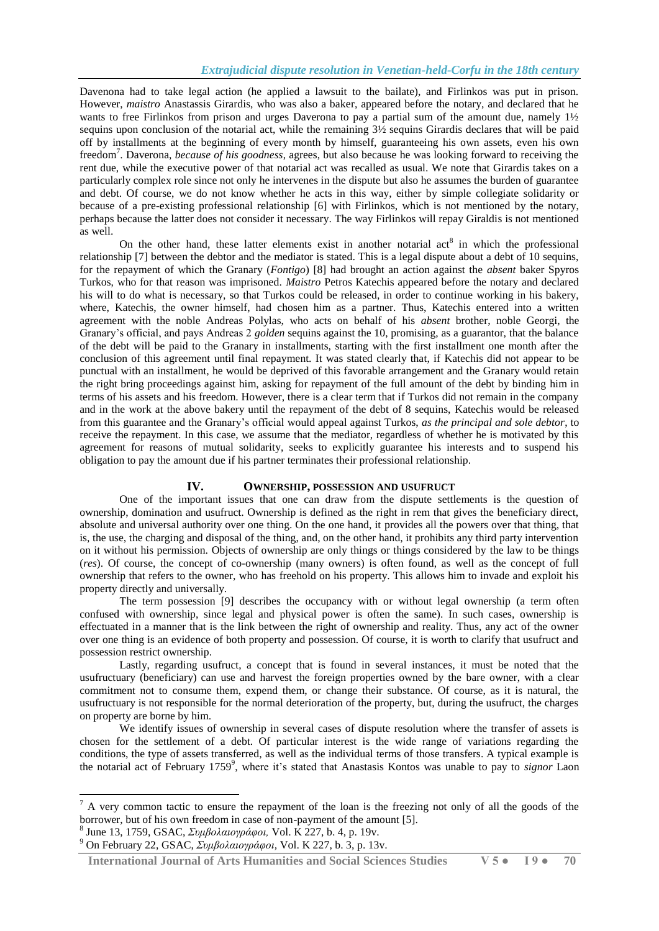Davenona had to take legal action (he applied a lawsuit to the bailate), and Firlinkos was put in prison. However, *maistro* Anastassis Girardis, who was also a baker, appeared before the notary, and declared that he wants to free Firlinkos from prison and urges Daverona to pay a partial sum of the amount due, namely 1½ sequins upon conclusion of the notarial act, while the remaining 3½ sequins Girardis declares that will be paid off by installments at the beginning of every month by himself, guaranteeing his own assets, even his own freedom<sup>7</sup>. Daverona, *because of his goodness*, agrees, but also because he was looking forward to receiving the rent due, while the executive power of that notarial act was recalled as usual. We note that Girardis takes on a particularly complex role since not only he intervenes in the dispute but also he assumes the burden of guarantee and debt. Of course, we do not know whether he acts in this way, either by simple collegiate solidarity or because of a pre-existing professional relationship [6] with Firlinkos, which is not mentioned by the notary, perhaps because the latter does not consider it necessary. The way Firlinkos will repay Giraldis is not mentioned as well.

On the other hand, these latter elements exist in another notarial  $\text{act}^8$  in which the professional relationship [7] between the debtor and the mediator is stated. This is a legal dispute about a debt of 10 sequins, for the repayment of which the Granary (*Fontigo*) [8] had brought an action against the *absent* baker Spyros Turkos, who for that reason was imprisoned. *Maistro* Petros Katechis appeared before the notary and declared his will to do what is necessary, so that Turkos could be released, in order to continue working in his bakery, where, Katechis, the owner himself, had chosen him as a partner. Thus, Katechis entered into a written agreement with the noble Andreas Polylas, who acts on behalf of his *absent* brother, noble Georgi, the Granary's official, and pays Andreas 2 *golden* sequins against the 10, promising, as a guarantor, that the balance of the debt will be paid to the Granary in installments, starting with the first installment one month after the conclusion of this agreement until final repayment. It was stated clearly that, if Katechis did not appear to be punctual with an installment, he would be deprived of this favorable arrangement and the Granary would retain the right bring proceedings against him, asking for repayment of the full amount of the debt by binding him in terms of his assets and his freedom. However, there is a clear term that if Turkos did not remain in the company and in the work at the above bakery until the repayment of the debt of 8 sequins, Katechis would be released from this guarantee and the Granary's official would appeal against Turkos, *as the principal and sole debtor*, to receive the repayment. In this case, we assume that the mediator, regardless of whether he is motivated by this agreement for reasons of mutual solidarity, seeks to explicitly guarantee his interests and to suspend his obligation to pay the amount due if his partner terminates their professional relationship.

## **IV. OWNERSHIP, POSSESSION AND USUFRUCT**

 One of the important issues that one can draw from the dispute settlements is the question of ownership, domination and usufruct. Ownership is defined as the right in rem that gives the beneficiary direct, absolute and universal authority over one thing. On the one hand, it provides all the powers over that thing, that is, the use, the charging and disposal of the thing, and, on the other hand, it prohibits any third party intervention on it without his permission. Objects of ownership are only things or things considered by the law to be things (*res*). Of course, the concept of co-ownership (many owners) is often found, as well as the concept of full ownership that refers to the owner, who has freehold on his property. This allows him to invade and exploit his property directly and universally.

 Τhe term possession [9] describes the occupancy with or without legal ownership (a term often confused with ownership, since legal and physical power is often the same). In such cases, ownership is effectuated in a manner that is the link between the right of ownership and reality. Thus, any act of the owner over one thing is an evidence of both property and possession. Of course, it is worth to clarify that usufruct and possession restrict ownership.

 Lastly, regarding usufruct, a concept that is found in several instances, it must be noted that the usufructuary (beneficiary) can use and harvest the foreign properties owned by the bare owner, with a clear commitment not to consume them, expend them, or change their substance. Of course, as it is natural, the usufructuary is not responsible for the normal deterioration of the property, but, during the usufruct, the charges on property are borne by him.

 We identify issues of ownership in several cases of dispute resolution where the transfer of assets is chosen for the settlement of a debt. Of particular interest is the wide range of variations regarding the conditions, the type of assets transferred, as well as the individual terms of those transfers. A typical example is the notarial act of February 1759<sup>9</sup>, where it's stated that Anastasis Kontos was unable to pay to *signor* Laon

8 June 13, 1759, GSAC, *Συμβολαιογράφοι,* Vol. K 227, b. 4, p. 19v.

**.** 

 $7 A$  very common tactic to ensure the repayment of the loan is the freezing not only of all the goods of the borrower, but of his own freedom in case of non-payment of the amount [5].

<sup>9</sup> On February 22, GSAC, *Συμβολαιογράφοι,* Vol. K 227, b. 3, p. 13v.

**International Journal of Arts Humanities and Social Sciences Studies V 5 ● I 9 ● 70**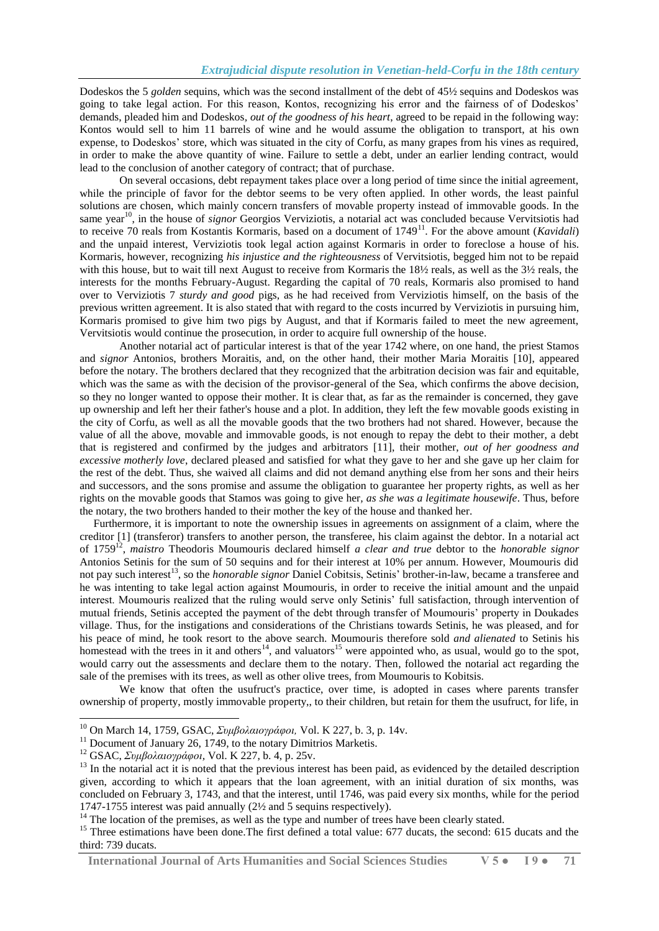Dodeskos the 5 *golden* sequins, which was the second installment of the debt of 45½ sequins and Dodeskos was going to take legal action. For this reason, Kontos, recognizing his error and the fairness of of Dodeskos' demands, pleaded him and Dodeskos*, out of the goodness of his heart*, agreed to be repaid in the following way: Kontos would sell to him 11 barrels of wine and he would assume the obligation to transport, at his own expense, to Dodeskos' store, which was situated in the city of Corfu, as many grapes from his vines as required, in order to make the above quantity of wine. Failure to settle a debt, under an earlier lending contract, would lead to the conclusion of another category of contract; that of purchase.

 On several occasions, debt repayment takes place over a long period of time since the initial agreement, while the principle of favor for the debtor seems to be very often applied. In other words, the least painful solutions are chosen, which mainly concern transfers of movable property instead of immovable goods. In the same year<sup>10</sup>, in the house of *signor* Georgios Verviziotis, a notarial act was concluded because Vervitsiotis had to receive 70 reals from Kostantis Kormaris, based on a document of 1749<sup>11</sup>. For the above amount (*Kavidali*) and the unpaid interest, Verviziotis took legal action against Kormaris in order to foreclose a house of his. Kormaris, however, recognizing *his injustice and the righteousness* of Vervitsiotis, begged him not to be repaid with this house, but to wait till next August to receive from Kormaris the 18½ reals, as well as the 3½ reals, the interests for the months February-August. Regarding the capital of 70 reals, Kormaris also promised to hand over to Verviziotis 7 *sturdy and good* pigs, as he had received from Verviziotis himself, on the basis of the previous written agreement. It is also stated that with regard to the costs incurred by Verviziotis in pursuing him, Kormaris promised to give him two pigs by August, and that if Kormaris failed to meet the new agreement, Vervitsiotis would continue the prosecution, in order to acquire full ownership of the house.

 Another notarial act of particular interest is that of the year 1742 where, on one hand, the priest Stamos and *signor* Antonios, brothers Moraitis, and, on the other hand, their mother Maria Moraitis [10], appeared before the notary. The brothers declared that they recognized that the arbitration decision was fair and equitable, which was the same as with the decision of the provisor-general of the Sea, which confirms the above decision, so they no longer wanted to oppose their mother. It is clear that, as far as the remainder is concerned, they gave up ownership and left her their father's house and a plot. In addition, they left the few movable goods existing in the city of Corfu, as well as all the movable goods that the two brothers had not shared. However, because the value of all the above, movable and immovable goods, is not enough to repay the debt to their mother, a debt that is registered and confirmed by the judges and arbitrators [11], their mother, *out of her goodness and excessive motherly love*, declared pleased and satisfied for what they gave to her and she gave up her claim for the rest of the debt. Thus, she waived all claims and did not demand anything else from her sons and their heirs and successors, and the sons promise and assume the obligation to guarantee her property rights, as well as her rights on the movable goods that Stamos was going to give her*, as she was a legitimate housewife*. Thus, before the notary, the two brothers handed to their mother the key of the house and thanked her.

 Furthermore, it is important to note the ownership issues in agreements on assignment of a claim, where the creditor [1] (transferor) transfers to another person, the transferee, his claim against the debtor. In a notarial act of 1759<sup>12</sup> , *maistro* Theodoris Moumouris declared himself *a clear and true* debtor to the *honorable signor* Antonios Setinis for the sum of 50 sequins and for their interest at 10% per annum. However, Moumouris did not pay such interest<sup>13</sup>, so the *honorable signor* Daniel Cobitsis, Setinis' brother-in-law, became a transferee and he was intenting to take legal action against Moumouris, in order to receive the initial amount and the unpaid interest. Moumouris realized that the ruling would serve only Setinis' full satisfaction, through intervention of mutual friends, Setinis accepted the payment of the debt through transfer of Moumouris' property in Doukades village. Thus, for the instigations and considerations of the Christians towards Setinis, he was pleased, and for his peace of mind, he took resort to the above search. Moumouris therefore sold *and alienated* to Setinis his homestead with the trees in it and others<sup>14</sup>, and valuators<sup>15</sup> were appointed who, as usual, would go to the spot, would carry out the assessments and declare them to the notary. Then, followed the notarial act regarding the sale of the premises with its trees, as well as other olive trees, from Moumouris to Kobitsis.

 We know that often the usufruct's practice, over time, is adopted in cases where parents transfer ownership of property, mostly immovable property,, to their children, but retain for them the usufruct, for life, in

1

 **International Journal of Arts Humanities and Social Sciences Studies V 5 ● I 9 ● 71**

<sup>10</sup> On March 14, 1759, GSAC, *Συμβολαιογράφοι,* Vol. K 227, b. 3, p. 14v.

 $11$  Document of January 26, 1749, to the notary Dimitrios Marketis.

<sup>12</sup> GSAC, *Συμβολαιογράφοι,* Vol. K 227, b. 4, p. 25v.

 $13$  In the notarial act it is noted that the previous interest has been paid, as evidenced by the detailed description given, according to which it appears that the loan agreement, with an initial duration of six months, was concluded on February 3, 1743, and that the interest, until 1746, was paid every six months, while for the period 1747-1755 interest was paid annually (2½ and 5 sequins respectively).

<sup>&</sup>lt;sup>14</sup> The location of the premises, as well as the type and number of trees have been clearly stated.

<sup>&</sup>lt;sup>15</sup> Three estimations have been done. The first defined a total value: 677 ducats, the second: 615 ducats and the third: 739 ducats.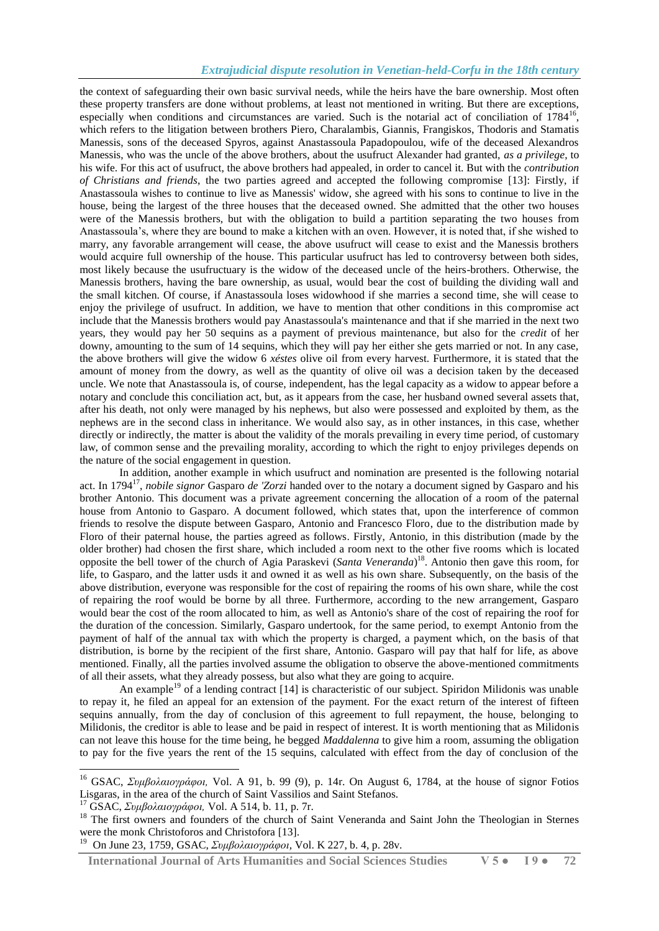# *Extrajudicial dispute resolution in Venetian-held-Corfu in the 18th century*

the context of safeguarding their own basic survival needs, while the heirs have the bare ownership. Most often these property transfers are done without problems, at least not mentioned in writing. But there are exceptions, especially when conditions and circumstances are varied. Such is the notarial act of conciliation of 1784<sup>16</sup>, which refers to the litigation between brothers Piero, Charalambis, Giannis, Frangiskos, Thodoris and Stamatis Manessis, sons of the deceased Spyros, against Anastassoula Papadopoulou, wife of the deceased Alexandros Manessis, who was the uncle of the above brothers, about the usufruct Alexander had granted, *as a privilege*, to his wife. For this act of usufruct, the above brothers had appealed, in order to cancel it. But with the *contribution of Christians and friends*, the two parties agreed and accepted the following compromise [13]: Firstly, if Anastassoula wishes to continue to live as Manessis' widow, she agreed with his sons to continue to live in the house, being the largest of the three houses that the deceased owned. She admitted that the other two houses were of the Manessis brothers, but with the obligation to build a partition separating the two houses from Anastassoula's, where they are bound to make a kitchen with an oven. However, it is noted that, if she wished to marry, any favorable arrangement will cease, the above usufruct will cease to exist and the Manessis brothers would acquire full ownership of the house. This particular usufruct has led to controversy between both sides, most likely because the usufructuary is the widow of the deceased uncle of the heirs-brothers. Otherwise, the Manessis brothers, having the bare ownership, as usual, would bear the cost of building the dividing wall and the small kitchen. Of course, if Anastassoula loses widowhood if she marries a second time, she will cease to enjoy the privilege of usufruct. In addition, we have to mention that other conditions in this compromise act include that the Manessis brothers would pay Anastassoula's maintenance and that if she married in the next two years, they would pay her 50 sequins as a payment of previous maintenance, but also for the *credit* of her downy, amounting to the sum of 14 sequins, which they will pay her either she gets married or not. In any case, the above brothers will give the widow 6 *xéstes* olive oil from every harvest. Furthermore, it is stated that the amount of money from the dowry, as well as the quantity of olive oil was a decision taken by the deceased uncle. We note that Anastassoula is, of course, independent, has the legal capacity as a widow to appear before a notary and conclude this conciliation act, but, as it appears from the case, her husband owned several assets that, after his death, not only were managed by his nephews, but also were possessed and exploited by them, as the nephews are in the second class in inheritance. We would also say, as in other instances, in this case, whether directly or indirectly, the matter is about the validity of the morals prevailing in every time period, of customary law, of common sense and the prevailing morality, according to which the right to enjoy privileges depends on the nature of the social engagement in question.

 In addition, another example in which usufruct and nomination are presented is the following notarial act. In 1794<sup>17</sup>, *nobile signor* Gasparo *de 'Zorzi* handed over to the notary a document signed by Gasparo and his brother Antonio. This document was a private agreement concerning the allocation of a room of the paternal house from Antonio to Gasparo. A document followed, which states that, upon the interference of common friends to resolve the dispute between Gasparo, Antonio and Francesco Floro, due to the distribution made by Floro of their paternal house, the parties agreed as follows. Firstly, Antonio, in this distribution (made by the older brother) had chosen the first share, which included a room next to the other five rooms which is located opposite the bell tower of the church of Agia Paraskevi (*Santa Veneranda*) 18 . Antonio then gave this room, for life, to Gasparo, and the latter usds it and owned it as well as his own share. Subsequently, on the basis of the above distribution, everyone was responsible for the cost of repairing the rooms of his own share, while the cost of repairing the roof would be borne by all three. Furthermore, according to the new arrangement, Gasparo would bear the cost of the room allocated to him, as well as Antonio's share of the cost of repairing the roof for the duration of the concession. Similarly, Gasparo undertook, for the same period, to exempt Antonio from the payment of half of the annual tax with which the property is charged, a payment which, on the basis of that distribution, is borne by the recipient of the first share, Antonio. Gasparo will pay that half for life, as above mentioned. Finally, all the parties involved assume the obligation to observe the above-mentioned commitments of all their assets, what they already possess, but also what they are going to acquire.

An example<sup>19</sup> of a lending contract [14] is characteristic of our subject. Spiridon Milidonis was unable to repay it, he filed an appeal for an extension of the payment. For the exact return of the interest of fifteen sequins annually, from the day of conclusion of this agreement to full repayment, the house, belonging to Milidonis, the creditor is able to lease and be paid in respect of interest. It is worth mentioning that as Milidonis can not leave this house for the time being, he begged *Maddalenna* to give him a room, assuming the obligation to pay for the five years the rent of the 15 sequins, calculated with effect from the day of conclusion of the

-

 **International Journal of Arts Humanities and Social Sciences Studies V 5 ● I 9 ● 72**

<sup>16</sup> GSAC, *Συμβολαιογράφοι,* Vol. A 91, b. 99 (9), p. 14r. On August 6, 1784, at the house of signor Fotios Lisgaras, in the area of the church of Saint Vassilios and Saint Stefanos.

<sup>17</sup> GSAC, *Συμβολαιογράφοι,* Vol. A 514, b. 11, p. 7r.

<sup>&</sup>lt;sup>18</sup> The first owners and founders of the church of Saint Veneranda and Saint John the Theologian in Sternes were the monk Christoforos and Christofora [13].

<sup>19</sup> On June 23, 1759, GSAC, *Συμβολαιογράφοι,* Vol. K 227, b. 4, p. 28v.